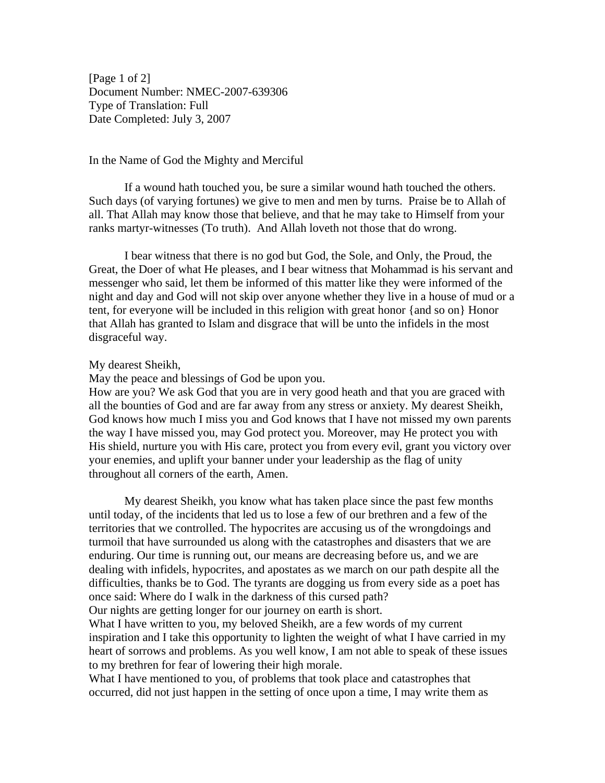[Page 1 of 2] Document Number: NMEC-2007-639306 Type of Translation: Full Date Completed: July 3, 2007

## In the Name of God the Mighty and Merciful

If a wound hath touched you, be sure a similar wound hath touched the others. Such days (of varying fortunes) we give to men and men by turns. Praise be to Allah of all. That Allah may know those that believe, and that he may take to Himself from your ranks martyr-witnesses (To truth). And Allah loveth not those that do wrong.

I bear witness that there is no god but God, the Sole, and Only, the Proud, the Great, the Doer of what He pleases, and I bear witness that Mohammad is his servant and messenger who said, let them be informed of this matter like they were informed of the night and day and God will not skip over anyone whether they live in a house of mud or a tent, for everyone will be included in this religion with great honor {and so on} Honor that Allah has granted to Islam and disgrace that will be unto the infidels in the most disgraceful way.

## My dearest Sheikh,

May the peace and blessings of God be upon you.

How are you? We ask God that you are in very good heath and that you are graced with all the bounties of God and are far away from any stress or anxiety. My dearest Sheikh, God knows how much I miss you and God knows that I have not missed my own parents the way I have missed you, may God protect you. Moreover, may He protect you with His shield, nurture you with His care, protect you from every evil, grant you victory over your enemies, and uplift your banner under your leadership as the flag of unity throughout all corners of the earth, Amen.

My dearest Sheikh, you know what has taken place since the past few months until today, of the incidents that led us to lose a few of our brethren and a few of the territories that we controlled. The hypocrites are accusing us of the wrongdoings and turmoil that have surrounded us along with the catastrophes and disasters that we are enduring. Our time is running out, our means are decreasing before us, and we are dealing with infidels, hypocrites, and apostates as we march on our path despite all the difficulties, thanks be to God. The tyrants are dogging us from every side as a poet has once said: Where do I walk in the darkness of this cursed path?

Our nights are getting longer for our journey on earth is short.

What I have written to you, my beloved Sheikh, are a few words of my current inspiration and I take this opportunity to lighten the weight of what I have carried in my heart of sorrows and problems. As you well know, I am not able to speak of these issues to my brethren for fear of lowering their high morale.

What I have mentioned to you, of problems that took place and catastrophes that occurred, did not just happen in the setting of once upon a time, I may write them as